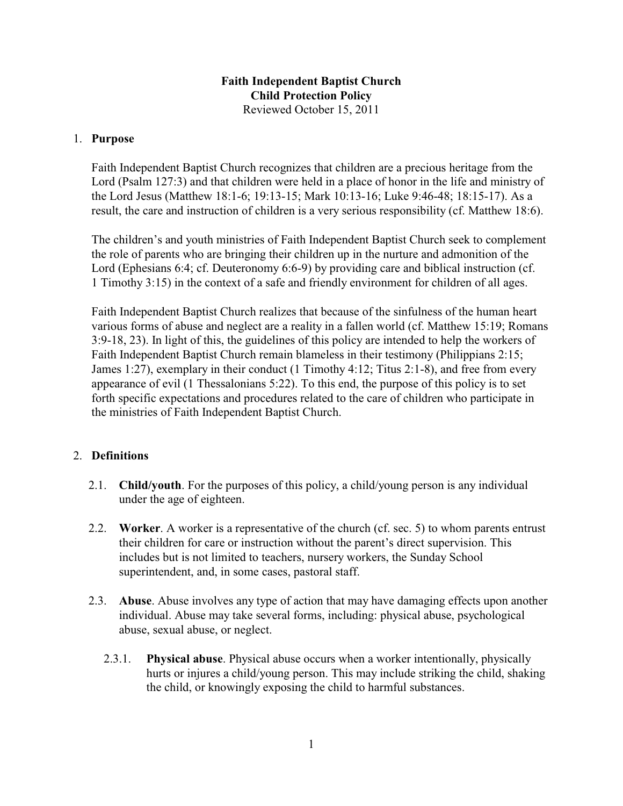# **Faith Independent Baptist Church Child Protection Policy** Reviewed October 15, 2011

## 1. **Purpose**

Faith Independent Baptist Church recognizes that children are a precious heritage from the Lord (Psalm 127:3) and that children were held in a place of honor in the life and ministry of the Lord Jesus (Matthew 18:1-6; 19:13-15; Mark 10:13-16; Luke 9:46-48; 18:15-17). As a result, the care and instruction of children is a very serious responsibility (cf. Matthew 18:6).

The children's and youth ministries of Faith Independent Baptist Church seek to complement the role of parents who are bringing their children up in the nurture and admonition of the Lord (Ephesians 6:4; cf. Deuteronomy 6:6-9) by providing care and biblical instruction (cf. 1 Timothy 3:15) in the context of a safe and friendly environment for children of all ages.

Faith Independent Baptist Church realizes that because of the sinfulness of the human heart various forms of abuse and neglect are a reality in a fallen world (cf. Matthew 15:19; Romans 3:9-18, 23). In light of this, the guidelines of this policy are intended to help the workers of Faith Independent Baptist Church remain blameless in their testimony (Philippians 2:15; James 1:27), exemplary in their conduct (1 Timothy 4:12; Titus 2:1-8), and free from every appearance of evil (1 Thessalonians 5:22). To this end, the purpose of this policy is to set forth specific expectations and procedures related to the care of children who participate in the ministries of Faith Independent Baptist Church.

## 2. **Definitions**

- 2.1. **Child/youth**. For the purposes of this policy, a child/young person is any individual under the age of eighteen.
- 2.2. **Worker**. A worker is a representative of the church (cf. sec. 5) to whom parents entrust their children for care or instruction without the parent's direct supervision. This includes but is not limited to teachers, nursery workers, the Sunday School superintendent, and, in some cases, pastoral staff.
- 2.3. **Abuse**. Abuse involves any type of action that may have damaging effects upon another individual. Abuse may take several forms, including: physical abuse, psychological abuse, sexual abuse, or neglect.
	- 2.3.1. **Physical abuse**. Physical abuse occurs when a worker intentionally, physically hurts or injures a child/young person. This may include striking the child, shaking the child, or knowingly exposing the child to harmful substances.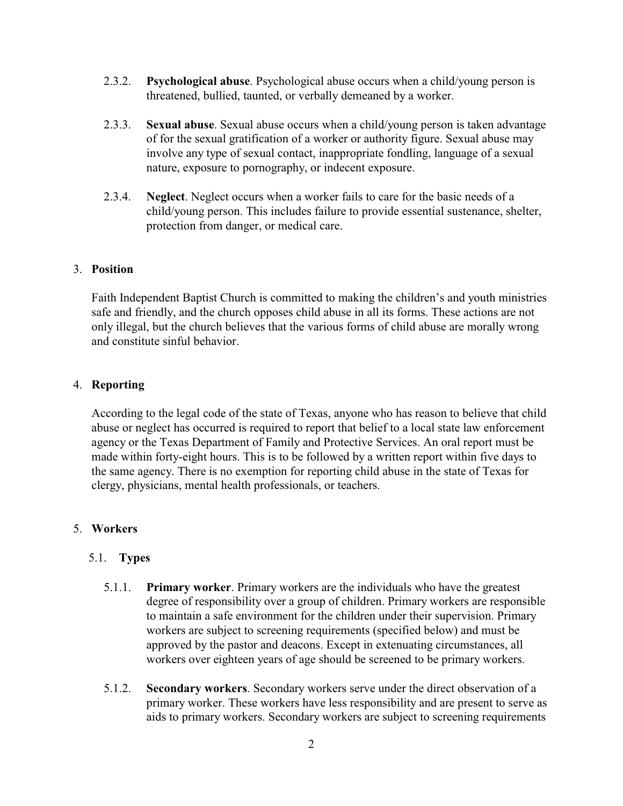- 2.3.2. **Psychological abuse**. Psychological abuse occurs when a child/young person is threatened, bullied, taunted, or verbally demeaned by a worker.
- 2.3.3. **Sexual abuse**. Sexual abuse occurs when a child/young person is taken advantage of for the sexual gratification of a worker or authority figure. Sexual abuse may involve any type of sexual contact, inappropriate fondling, language of a sexual nature, exposure to pornography, or indecent exposure.
- 2.3.4. **Neglect**. Neglect occurs when a worker fails to care for the basic needs of a child/young person. This includes failure to provide essential sustenance, shelter, protection from danger, or medical care.

### 3. **Position**

Faith Independent Baptist Church is committed to making the children's and youth ministries safe and friendly, and the church opposes child abuse in all its forms. These actions are not only illegal, but the church believes that the various forms of child abuse are morally wrong and constitute sinful behavior.

#### 4. **Reporting**

According to the legal code of the state of Texas, anyone who has reason to believe that child abuse or neglect has occurred is required to report that belief to a local state law enforcement agency or the Texas Department of Family and Protective Services. An oral report must be made within forty-eight hours. This is to be followed by a written report within five days to the same agency. There is no exemption for reporting child abuse in the state of Texas for clergy, physicians, mental health professionals, or teachers.

#### 5. **Workers**

#### 5.1. **Types**

- 5.1.1. **Primary worker**. Primary workers are the individuals who have the greatest degree of responsibility over a group of children. Primary workers are responsible to maintain a safe environment for the children under their supervision. Primary workers are subject to screening requirements (specified below) and must be approved by the pastor and deacons. Except in extenuating circumstances, all workers over eighteen years of age should be screened to be primary workers.
- 5.1.2. **Secondary workers**. Secondary workers serve under the direct observation of a primary worker. These workers have less responsibility and are present to serve as aids to primary workers. Secondary workers are subject to screening requirements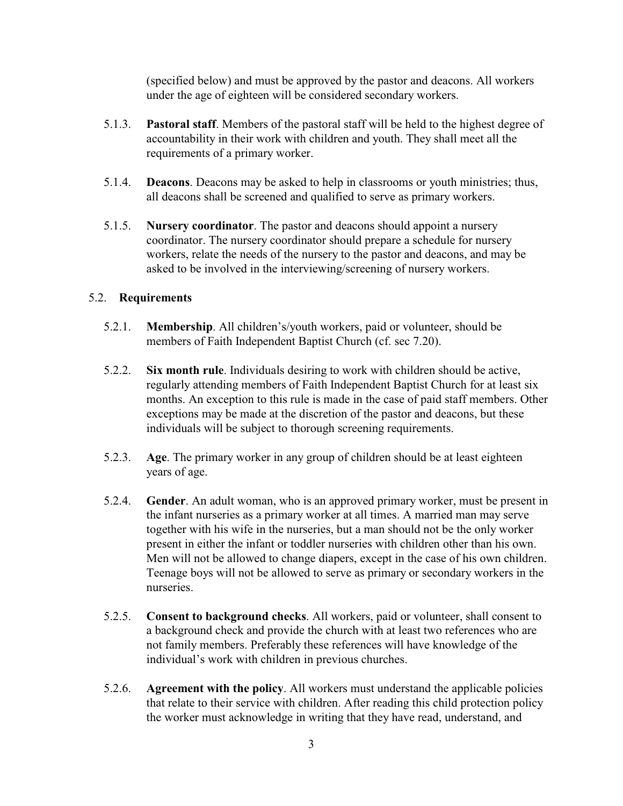(specified below) and must be approved by the pastor and deacons. All workers under the age of eighteen will be considered secondary workers.

- 5.1.3. **Pastoral staff**. Members of the pastoral staff will be held to the highest degree of accountability in their work with children and youth. They shall meet all the requirements of a primary worker.
- 5.1.4. **Deacons**. Deacons may be asked to help in classrooms or youth ministries; thus, all deacons shall be screened and qualified to serve as primary workers.
- 5.1.5. **Nursery coordinator**. The pastor and deacons should appoint a nursery coordinator. The nursery coordinator should prepare a schedule for nursery workers, relate the needs of the nursery to the pastor and deacons, and may be asked to be involved in the interviewing/screening of nursery workers.

# 5.2. **Requirements**

- 5.2.1. **Membership**. All children's/youth workers, paid or volunteer, should be members of Faith Independent Baptist Church (cf. sec 7.20).
- 5.2.2. **Six month rule**. Individuals desiring to work with children should be active, regularly attending members of Faith Independent Baptist Church for at least six months. An exception to this rule is made in the case of paid staff members. Other exceptions may be made at the discretion of the pastor and deacons, but these individuals will be subject to thorough screening requirements.
- 5.2.3. **Age**. The primary worker in any group of children should be at least eighteen years of age.
- 5.2.4. **Gender**. An adult woman, who is an approved primary worker, must be present in the infant nurseries as a primary worker at all times. A married man may serve together with his wife in the nurseries, but a man should not be the only worker present in either the infant or toddler nurseries with children other than his own. Men will not be allowed to change diapers, except in the case of his own children. Teenage boys will not be allowed to serve as primary or secondary workers in the nurseries.
- 5.2.5. **Consent to background checks**. All workers, paid or volunteer, shall consent to a background check and provide the church with at least two references who are not family members. Preferably these references will have knowledge of the individual's work with children in previous churches.
- 5.2.6. **Agreement with the policy**. All workers must understand the applicable policies that relate to their service with children. After reading this child protection policy the worker must acknowledge in writing that they have read, understand, and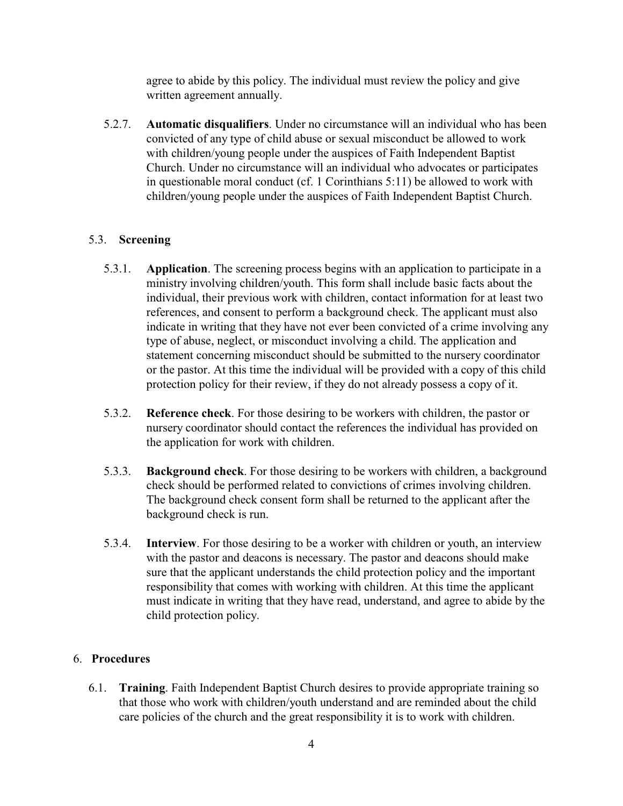agree to abide by this policy. The individual must review the policy and give written agreement annually.

 5.2.7. **Automatic disqualifiers**. Under no circumstance will an individual who has been convicted of any type of child abuse or sexual misconduct be allowed to work with children/young people under the auspices of Faith Independent Baptist Church. Under no circumstance will an individual who advocates or participates in questionable moral conduct (cf. 1 Corinthians 5:11) be allowed to work with children/young people under the auspices of Faith Independent Baptist Church.

# 5.3. **Screening**

- 5.3.1. **Application**. The screening process begins with an application to participate in a ministry involving children/youth. This form shall include basic facts about the individual, their previous work with children, contact information for at least two references, and consent to perform a background check. The applicant must also indicate in writing that they have not ever been convicted of a crime involving any type of abuse, neglect, or misconduct involving a child. The application and statement concerning misconduct should be submitted to the nursery coordinator or the pastor. At this time the individual will be provided with a copy of this child protection policy for their review, if they do not already possess a copy of it.
- 5.3.2. **Reference check**. For those desiring to be workers with children, the pastor or nursery coordinator should contact the references the individual has provided on the application for work with children.
- 5.3.3. **Background check**. For those desiring to be workers with children, a background check should be performed related to convictions of crimes involving children. The background check consent form shall be returned to the applicant after the background check is run.
- 5.3.4. **Interview**. For those desiring to be a worker with children or youth, an interview with the pastor and deacons is necessary. The pastor and deacons should make sure that the applicant understands the child protection policy and the important responsibility that comes with working with children. At this time the applicant must indicate in writing that they have read, understand, and agree to abide by the child protection policy.

## 6. **Procedures**

 6.1. **Training**. Faith Independent Baptist Church desires to provide appropriate training so that those who work with children/youth understand and are reminded about the child care policies of the church and the great responsibility it is to work with children.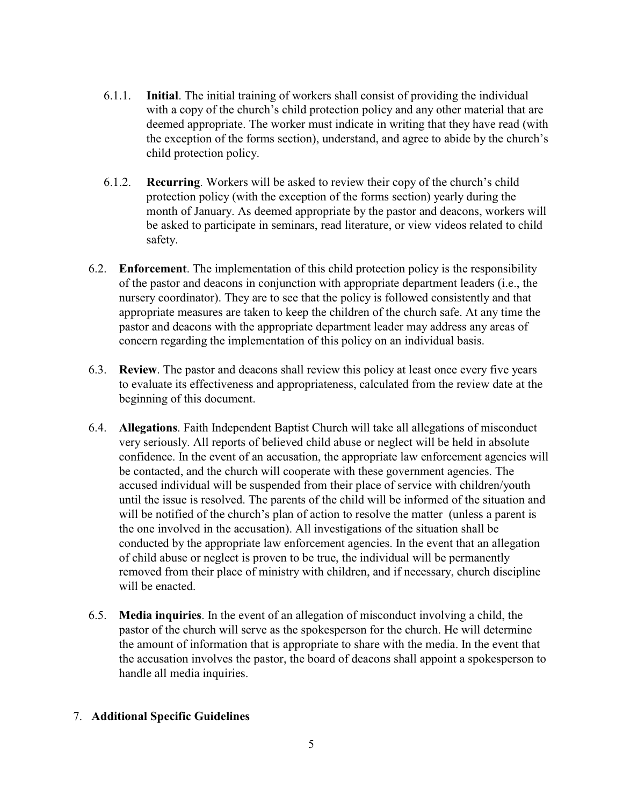- 6.1.1. **Initial**. The initial training of workers shall consist of providing the individual with a copy of the church's child protection policy and any other material that are deemed appropriate. The worker must indicate in writing that they have read (with the exception of the forms section), understand, and agree to abide by the church's child protection policy.
- 6.1.2. **Recurring**. Workers will be asked to review their copy of the church's child protection policy (with the exception of the forms section) yearly during the month of January. As deemed appropriate by the pastor and deacons, workers will be asked to participate in seminars, read literature, or view videos related to child safety.
- 6.2. **Enforcement**. The implementation of this child protection policy is the responsibility of the pastor and deacons in conjunction with appropriate department leaders (i.e., the nursery coordinator). They are to see that the policy is followed consistently and that appropriate measures are taken to keep the children of the church safe. At any time the pastor and deacons with the appropriate department leader may address any areas of concern regarding the implementation of this policy on an individual basis.
- 6.3. **Review**. The pastor and deacons shall review this policy at least once every five years to evaluate its effectiveness and appropriateness, calculated from the review date at the beginning of this document.
- 6.4. **Allegations**. Faith Independent Baptist Church will take all allegations of misconduct very seriously. All reports of believed child abuse or neglect will be held in absolute confidence. In the event of an accusation, the appropriate law enforcement agencies will be contacted, and the church will cooperate with these government agencies. The accused individual will be suspended from their place of service with children/youth until the issue is resolved. The parents of the child will be informed of the situation and will be notified of the church's plan of action to resolve the matter (unless a parent is the one involved in the accusation). All investigations of the situation shall be conducted by the appropriate law enforcement agencies. In the event that an allegation of child abuse or neglect is proven to be true, the individual will be permanently removed from their place of ministry with children, and if necessary, church discipline will be enacted.
- 6.5. **Media inquiries**. In the event of an allegation of misconduct involving a child, the pastor of the church will serve as the spokesperson for the church. He will determine the amount of information that is appropriate to share with the media. In the event that the accusation involves the pastor, the board of deacons shall appoint a spokesperson to handle all media inquiries.

## 7. **Additional Specific Guidelines**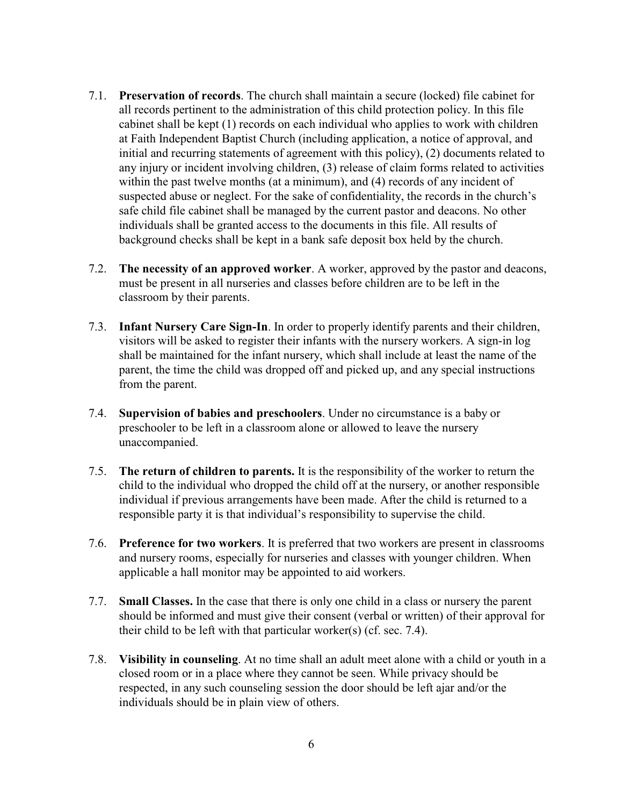- 7.1. **Preservation of records**. The church shall maintain a secure (locked) file cabinet for all records pertinent to the administration of this child protection policy. In this file cabinet shall be kept (1) records on each individual who applies to work with children at Faith Independent Baptist Church (including application, a notice of approval, and initial and recurring statements of agreement with this policy), (2) documents related to any injury or incident involving children, (3) release of claim forms related to activities within the past twelve months (at a minimum), and (4) records of any incident of suspected abuse or neglect. For the sake of confidentiality, the records in the church's safe child file cabinet shall be managed by the current pastor and deacons. No other individuals shall be granted access to the documents in this file. All results of background checks shall be kept in a bank safe deposit box held by the church.
- 7.2. **The necessity of an approved worker**. A worker, approved by the pastor and deacons, must be present in all nurseries and classes before children are to be left in the classroom by their parents.
- 7.3. **Infant Nursery Care Sign-In**. In order to properly identify parents and their children, visitors will be asked to register their infants with the nursery workers. A sign-in log shall be maintained for the infant nursery, which shall include at least the name of the parent, the time the child was dropped off and picked up, and any special instructions from the parent.
- 7.4. **Supervision of babies and preschoolers**. Under no circumstance is a baby or preschooler to be left in a classroom alone or allowed to leave the nursery unaccompanied.
- 7.5. **The return of children to parents.** It is the responsibility of the worker to return the child to the individual who dropped the child off at the nursery, or another responsible individual if previous arrangements have been made. After the child is returned to a responsible party it is that individual's responsibility to supervise the child.
- 7.6. **Preference for two workers**. It is preferred that two workers are present in classrooms and nursery rooms, especially for nurseries and classes with younger children. When applicable a hall monitor may be appointed to aid workers.
- 7.7. **Small Classes.** In the case that there is only one child in a class or nursery the parent should be informed and must give their consent (verbal or written) of their approval for their child to be left with that particular worker(s) (cf. sec. 7.4).
- 7.8. **Visibility in counseling**. At no time shall an adult meet alone with a child or youth in a closed room or in a place where they cannot be seen. While privacy should be respected, in any such counseling session the door should be left ajar and/or the individuals should be in plain view of others.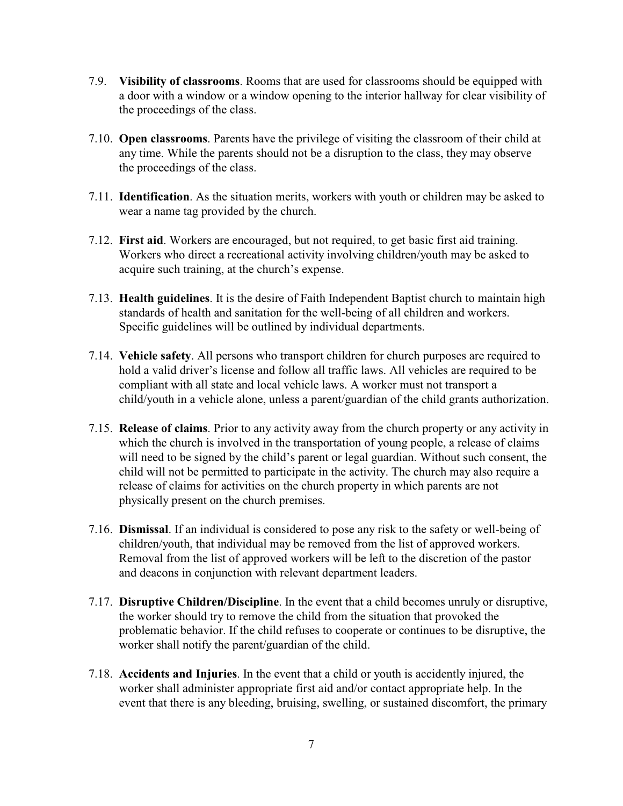- 7.9. **Visibility of classrooms**. Rooms that are used for classrooms should be equipped with a door with a window or a window opening to the interior hallway for clear visibility of the proceedings of the class.
- 7.10. **Open classrooms**. Parents have the privilege of visiting the classroom of their child at any time. While the parents should not be a disruption to the class, they may observe the proceedings of the class.
- 7.11. **Identification**. As the situation merits, workers with youth or children may be asked to wear a name tag provided by the church.
- 7.12. **First aid**. Workers are encouraged, but not required, to get basic first aid training. Workers who direct a recreational activity involving children/youth may be asked to acquire such training, at the church's expense.
- 7.13. **Health guidelines**. It is the desire of Faith Independent Baptist church to maintain high standards of health and sanitation for the well-being of all children and workers. Specific guidelines will be outlined by individual departments.
- 7.14. **Vehicle safety**. All persons who transport children for church purposes are required to hold a valid driver's license and follow all traffic laws. All vehicles are required to be compliant with all state and local vehicle laws. A worker must not transport a child/youth in a vehicle alone, unless a parent/guardian of the child grants authorization.
- 7.15. **Release of claims**. Prior to any activity away from the church property or any activity in which the church is involved in the transportation of young people, a release of claims will need to be signed by the child's parent or legal guardian. Without such consent, the child will not be permitted to participate in the activity. The church may also require a release of claims for activities on the church property in which parents are not physically present on the church premises.
- 7.16. **Dismissal**. If an individual is considered to pose any risk to the safety or well-being of children/youth, that individual may be removed from the list of approved workers. Removal from the list of approved workers will be left to the discretion of the pastor and deacons in conjunction with relevant department leaders.
- 7.17. **Disruptive Children/Discipline**. In the event that a child becomes unruly or disruptive, the worker should try to remove the child from the situation that provoked the problematic behavior. If the child refuses to cooperate or continues to be disruptive, the worker shall notify the parent/guardian of the child.
- 7.18. **Accidents and Injuries**. In the event that a child or youth is accidently injured, the worker shall administer appropriate first aid and/or contact appropriate help. In the event that there is any bleeding, bruising, swelling, or sustained discomfort, the primary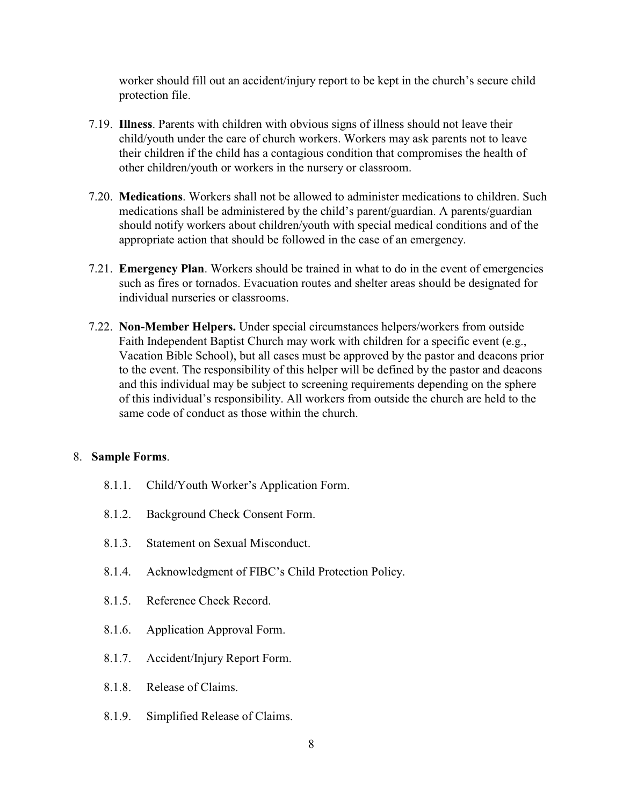worker should fill out an accident/injury report to be kept in the church's secure child protection file.

- 7.19. **Illness**. Parents with children with obvious signs of illness should not leave their child/youth under the care of church workers. Workers may ask parents not to leave their children if the child has a contagious condition that compromises the health of other children/youth or workers in the nursery or classroom.
- 7.20. **Medications**. Workers shall not be allowed to administer medications to children. Such medications shall be administered by the child's parent/guardian. A parents/guardian should notify workers about children/youth with special medical conditions and of the appropriate action that should be followed in the case of an emergency.
- 7.21. **Emergency Plan**. Workers should be trained in what to do in the event of emergencies such as fires or tornados. Evacuation routes and shelter areas should be designated for individual nurseries or classrooms.
- 7.22. **Non-Member Helpers.** Under special circumstances helpers/workers from outside Faith Independent Baptist Church may work with children for a specific event (e.g., Vacation Bible School), but all cases must be approved by the pastor and deacons prior to the event. The responsibility of this helper will be defined by the pastor and deacons and this individual may be subject to screening requirements depending on the sphere of this individual's responsibility. All workers from outside the church are held to the same code of conduct as those within the church.

## 8. **Sample Forms**.

- 8.1.1. Child/Youth Worker's Application Form.
- 8.1.2. Background Check Consent Form.
- 8.1.3. Statement on Sexual Misconduct.
- 8.1.4. Acknowledgment of FIBC's Child Protection Policy.
- 8.1.5. Reference Check Record.
- 8.1.6. Application Approval Form.
- 8.1.7. Accident/Injury Report Form.
- 8.1.8. Release of Claims.
- 8.1.9. Simplified Release of Claims.